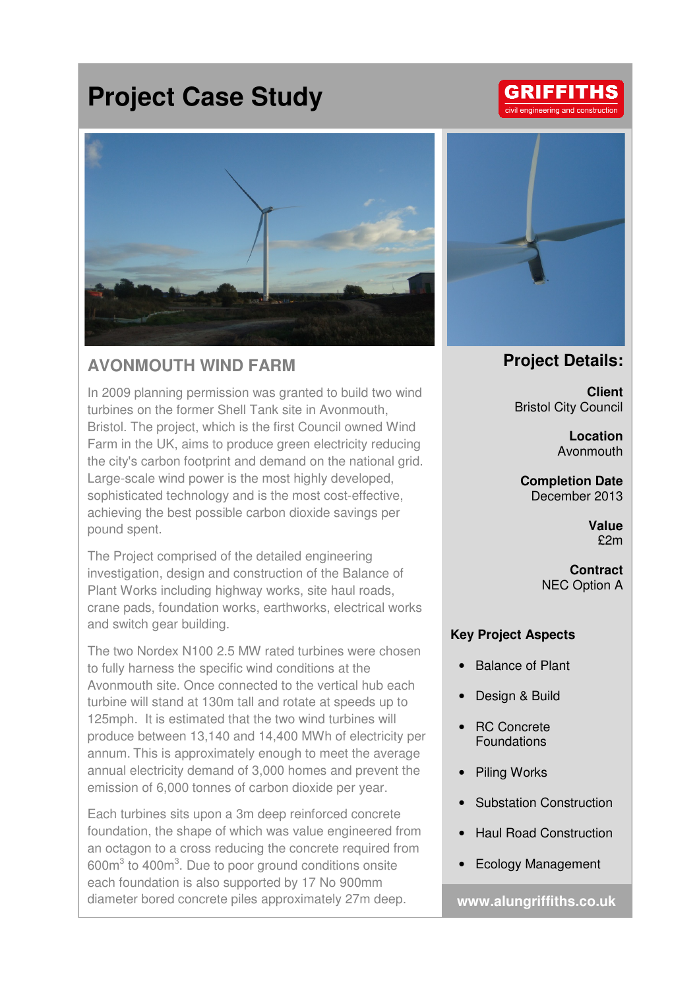## **Project Case Study**



## **AVONMOUTH WIND FARM**

In 2009 planning permission was granted to build two wind turbines on the former Shell Tank site in Avonmouth, Bristol. The project, which is the first Council owned Wind Farm in the UK, aims to produce green electricity reducing the city's carbon footprint and demand on the national grid. Large-scale wind power is the most highly developed, sophisticated technology and is the most cost-effective, achieving the best possible carbon dioxide savings per pound spent.

The Project comprised of the detailed engineering investigation, design and construction of the Balance of Plant Works including highway works, site haul roads, crane pads, foundation works, earthworks, electrical works and switch gear building.

The two Nordex N100 2.5 MW rated turbines were chosen to fully harness the specific wind conditions at the Avonmouth site. Once connected to the vertical hub each turbine will stand at 130m tall and rotate at speeds up to 125mph. It is estimated that the two wind turbines will produce between 13,140 and 14,400 MWh of electricity per annum. This is approximately enough to meet the average annual electricity demand of 3,000 homes and prevent the emission of 6,000 tonnes of carbon dioxide per year.

Each turbines sits upon a 3m deep reinforced concrete foundation, the shape of which was value engineered from an octagon to a cross reducing the concrete required from  $600m<sup>3</sup>$  to  $400m<sup>3</sup>$ . Due to poor ground conditions onsite each foundation is also supported by 17 No 900mm diameter bored concrete piles approximately 27m deep.



## **Project Details:**

**Client**  Bristol City Council

> **Location**  Avonmouth

**Completion Date**  December 2013

> **Value**  £2m

**Contract**  NEC Option A

## **Key Project Aspects**

- Balance of Plant
- Design & Build
- RC Concrete Foundations
- Piling Works
- Substation Construction
- Haul Road Construction
- Ecology Management

**www.alungriffiths.co.uk**